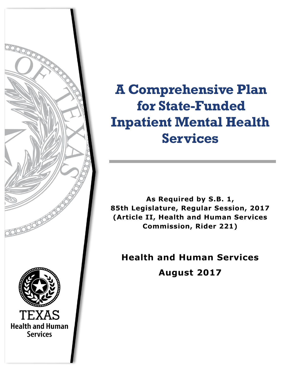

**A Comprehensive Plan for State-Funded Inpatient Mental Health Services**

**As Required by S.B. 1, 85th Legislature, Regular Session, 2017 (Article II, Health and Human Services Commission, Rider 221)**

**Health and Human Services August 2017**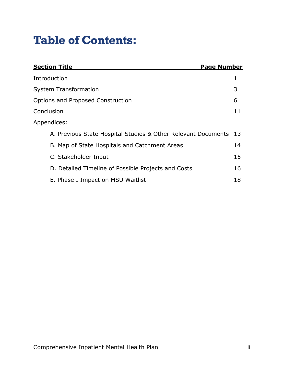# **Table of Contents:**

| <b>Section Title</b><br><b>Page Number</b>                    |     |
|---------------------------------------------------------------|-----|
| Introduction                                                  |     |
| <b>System Transformation</b>                                  | 3   |
| Options and Proposed Construction                             | 6   |
| Conclusion                                                    | 11  |
| Appendices:                                                   |     |
| A. Previous State Hospital Studies & Other Relevant Documents | -13 |
| B. Map of State Hospitals and Catchment Areas                 | 14  |
| C. Stakeholder Input                                          | 15  |
| D. Detailed Timeline of Possible Projects and Costs           | 16  |
| E. Phase I Impact on MSU Waitlist                             | 18  |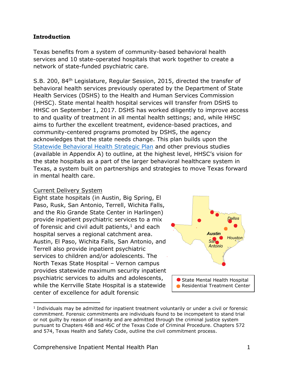#### **Introduction**

Texas benefits from a system of community-based behavioral health services and 10 state-operated hospitals that work together to create a network of state-funded psychiatric care.

S.B. 200, 84<sup>th</sup> Legislature, Regular Session, 2015, directed the transfer of behavioral health services previously operated by the Department of State Health Services (DSHS) to the Health and Human Services Commission (HHSC). State mental health hospital services will transfer from DSHS to HHSC on September 1, 2017. DSHS has worked diligently to improve access to and quality of treatment in all mental health settings; and, while HHSC aims to further the excellent treatment, evidence-based practices, and community-centered programs promoted by DSHS, the agency acknowledges that the state needs change. This plan builds upon the [Statewide Behavioral Health Strategic Plan](https://hhs.texas.gov/sites/default/files/050216-statewide-behavioral-health-strategic-plan.pdf) and other previous studies (available in Appendix A) to outline, at the highest level, HHSC's vision for the state hospitals as a part of the larger behavioral healthcare system in Texas, a system built on partnerships and strategies to move Texas forward in mental health care.

#### Current Delivery System

 $\overline{a}$ 

Eight state hospitals (in Austin, Big Spring, El Paso, Rusk, San Antonio, Terrell, Wichita Falls, and the Rio Grande State Center in Harlingen) provide inpatient psychiatric services to a mix of forensic and civil adult patients, $1$  and each hospital serves a regional catchment area. Austin, El Paso, Wichita Falls, San Antonio, and Terrell also provide inpatient psychiatric services to children and/or adolescents. The North Texas State Hospital – Vernon campus provides statewide maximum security inpatient psychiatric services to adults and adolescents, while the Kerrville State Hospital is a statewide center of excellence for adult forensic



<sup>&</sup>lt;sup>1</sup> Individuals may be admitted for inpatient treatment voluntarily or under a civil or forensic commitment. Forensic commitments are individuals found to be incompetent to stand trial or not guilty by reason of insanity and are admitted through the criminal justice system pursuant to Chapters 46B and 46C of the Texas Code of Criminal Procedure. Chapters 572 and 574, Texas Health and Safety Code, outline the civil commitment process.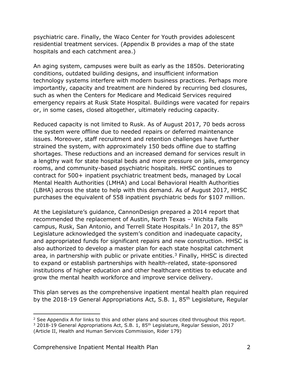psychiatric care. Finally, the Waco Center for Youth provides adolescent residential treatment services. (Appendix B provides a map of the state hospitals and each catchment area.)

An aging system, campuses were built as early as the 1850s. Deteriorating conditions, outdated building designs, and insufficient information technology systems interfere with modern business practices. Perhaps more importantly, capacity and treatment are hindered by recurring bed closures, such as when the Centers for Medicare and Medicaid Services required emergency repairs at Rusk State Hospital. Buildings were vacated for repairs or, in some cases, closed altogether, ultimately reducing capacity.

Reduced capacity is not limited to Rusk. As of August 2017, 70 beds across the system were offline due to needed repairs or deferred maintenance issues. Moreover, staff recruitment and retention challenges have further strained the system, with approximately 150 beds offline due to staffing shortages. These reductions and an increased demand for services result in a lengthy wait for state hospital beds and more pressure on jails, emergency rooms, and community-based psychiatric hospitals. HHSC continues to contract for 500+ inpatient psychiatric treatment beds, managed by Local Mental Health Authorities (LMHA) and Local Behavioral Health Authorities (LBHA) across the state to help with this demand. As of August 2017, HHSC purchases the equivalent of 558 inpatient psychiatric beds for \$107 million.

At the Legislature's guidance, CannonDesign prepared a 2014 report that recommended the replacement of Austin, North Texas – Wichita Falls campus, Rusk, San Antonio, and Terrell State Hospitals.<sup>2</sup> In 2017, the 85<sup>th</sup> Legislature acknowledged the system's condition and inadequate capacity, and appropriated funds for significant repairs and new construction. HHSC is also authorized to develop a master plan for each state hospital catchment area, in partnership with public or private entities. <sup>3</sup> Finally, HHSC is directed to expand or establish partnerships with health-related, state-sponsored institutions of higher education and other healthcare entities to educate and grow the mental health workforce and improve service delivery.

This plan serves as the comprehensive inpatient mental health plan required by the 2018-19 General Appropriations Act, S.B. 1, 85<sup>th</sup> Legislature, Regular

<sup>&</sup>lt;sup>2</sup> See Appendix A for links to this and other plans and sources cited throughout this report.

<sup>&</sup>lt;sup>3</sup> 2018-19 General Appropriations Act, S.B. 1, 85<sup>th</sup> Legislature, Regular Session, 2017 (Article II, Health and Human Services Commission, Rider 179)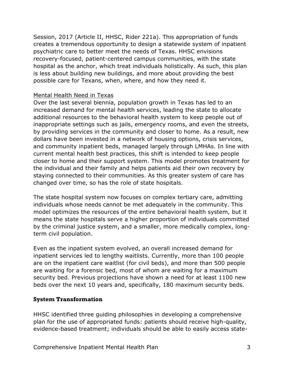Session, 2017 (Article II, HHSC, Rider 221a). This appropriation of funds creates a tremendous opportunity to design a statewide system of inpatient psychiatric care to better meet the needs of Texas. HHSC envisions recovery-focused, patient-centered campus communities, with the state hospital as the anchor, which treat individuals holistically. As such, this plan is less about building new buildings, and more about providing the best possible care for Texans, when, where, and how they need it.

#### Mental Health Need in Texas

Over the last several biennia, population growth in Texas has led to an increased demand for mental health services, leading the state to allocate additional resources to the behavioral health system to keep people out of inappropriate settings such as jails, emergency rooms, and even the streets, by providing services in the community and closer to home. As a result, new dollars have been invested in a network of housing options, crisis services, and community inpatient beds, managed largely through LMHAs. In line with current mental health best practices, this shift is intended to keep people closer to home and their support system. This model promotes treatment for the individual and their family and helps patients aid their own recovery by staying connected to their communities. As this greater system of care has changed over time, so has the role of state hospitals.

The state hospital system now focuses on complex tertiary care, admitting individuals whose needs cannot be met adequately in the community. This model optimizes the resources of the entire behavioral health system, but it means the state hospitals serve a higher proportion of individuals committed by the criminal justice system, and a smaller, more medically complex, longterm civil population.

Even as the inpatient system evolved, an overall increased demand for inpatient services led to lengthy waitlists. Currently, more than 100 people are on the inpatient care waitlist (for civil beds), and more than 500 people are waiting for a forensic bed, most of whom are waiting for a maximum security bed. Previous projections have shown a need for at least 1100 new beds over the next 10 years and, specifically, 180 maximum security beds.

## **System Transformation**

HHSC identified three guiding philosophies in developing a comprehensive plan for the use of appropriated funds: patients should receive high-quality, evidence-based treatment; individuals should be able to easily access state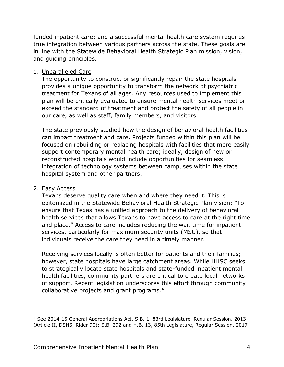funded inpatient care; and a successful mental health care system requires true integration between various partners across the state. These goals are in line with the Statewide Behavioral Health Strategic Plan mission, vision, and guiding principles.

#### 1. Unparalleled Care

The opportunity to construct or significantly repair the state hospitals provides a unique opportunity to transform the network of psychiatric treatment for Texans of all ages. Any resources used to implement this plan will be critically evaluated to ensure mental health services meet or exceed the standard of treatment and protect the safety of all people in our care, as well as staff, family members, and visitors.

The state previously studied how the design of behavioral health facilities can impact treatment and care. Projects funded within this plan will be focused on rebuilding or replacing hospitals with facilities that more easily support contemporary mental health care; ideally, design of new or reconstructed hospitals would include opportunities for seamless integration of technology systems between campuses within the state hospital system and other partners.

#### 2. Easy Access

 $\overline{a}$ 

Texans deserve quality care when and where they need it. This is epitomized in the Statewide Behavioral Health Strategic Plan vision: "To ensure that Texas has a unified approach to the delivery of behavioral health services that allows Texans to have access to care at the right time and place." Access to care includes reducing the wait time for inpatient services, particularly for maximum security units (MSU), so that individuals receive the care they need in a timely manner.

Receiving services locally is often better for patients and their families; however, state hospitals have large catchment areas. While HHSC seeks to strategically locate state hospitals and state-funded inpatient mental health facilities, community partners are critical to create local networks of support. Recent legislation underscores this effort through community collaborative projects and grant programs.<sup>4</sup>

<sup>4</sup> See 2014-15 General Appropriations Act, S.B. 1, 83rd Legislature, Regular Session, 2013 (Article II, DSHS, Rider 90); S.B. 292 and H.B. 13, 85th Legislature, Regular Session, 2017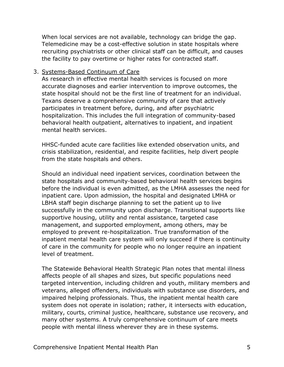When local services are not available, technology can bridge the gap. Telemedicine may be a cost-effective solution in state hospitals where recruiting psychiatrists or other clinical staff can be difficult, and causes the facility to pay overtime or higher rates for contracted staff.

#### 3. Systems-Based Continuum of Care

As research in effective mental health services is focused on more accurate diagnoses and earlier intervention to improve outcomes, the state hospital should not be the first line of treatment for an individual. Texans deserve a comprehensive community of care that actively participates in treatment before, during, and after psychiatric hospitalization. This includes the full integration of community-based behavioral health outpatient, alternatives to inpatient, and inpatient mental health services.

HHSC-funded acute care facilities like extended observation units, and crisis stabilization, residential, and respite facilities, help divert people from the state hospitals and others.

Should an individual need inpatient services, coordination between the state hospitals and community-based behavioral health services begins before the individual is even admitted, as the LMHA assesses the need for inpatient care. Upon admission, the hospital and designated LMHA or LBHA staff begin discharge planning to set the patient up to live successfully in the community upon discharge. Transitional supports like supportive housing, utility and rental assistance, targeted case management, and supported employment, among others, may be employed to prevent re-hospitalization. True transformation of the inpatient mental health care system will only succeed if there is continuity of care in the community for people who no longer require an inpatient level of treatment.

The Statewide Behavioral Health Strategic Plan notes that mental illness affects people of all shapes and sizes, but specific populations need targeted intervention, including children and youth, military members and veterans, alleged offenders, individuals with substance use disorders, and impaired helping professionals. Thus, the inpatient mental health care system does not operate in isolation; rather, it intersects with education, military, courts, criminal justice, healthcare, substance use recovery, and many other systems. A truly comprehensive continuum of care meets people with mental illness wherever they are in these systems.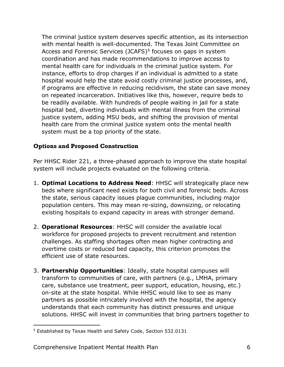The criminal justice system deserves specific attention, as its intersection with mental health is well-documented. The Texas Joint Committee on Access and Forensic Services (JCAFS)<sup>5</sup> focuses on gaps in system coordination and has made recommendations to improve access to mental health care for individuals in the criminal justice system. For instance, efforts to drop charges if an individual is admitted to a state hospital would help the state avoid costly criminal justice processes, and, if programs are effective in reducing recidivism, the state can save money on repeated incarceration. Initiatives like this, however, require beds to be readily available. With hundreds of people waiting in jail for a state hospital bed, diverting individuals with mental illness from the criminal justice system, adding MSU beds, and shifting the provision of mental health care from the criminal justice system onto the mental health system must be a top priority of the state.

## **Options and Proposed Construction**

Per HHSC Rider 221, a three-phased approach to improve the state hospital system will include projects evaluated on the following criteria.

- 1. **Optimal Locations to Address Need**: HHSC will strategically place new beds where significant need exists for both civil and forensic beds. Across the state, serious capacity issues plague communities, including major population centers. This may mean re-sizing, downsizing, or relocating existing hospitals to expand capacity in areas with stronger demand.
- 2. **Operational Resources**: HHSC will consider the available local workforce for proposed projects to prevent recruitment and retention challenges. As staffing shortages often mean higher contracting and overtime costs or reduced bed capacity, this criterion promotes the efficient use of state resources.
- 3. **Partnership Opportunities**: Ideally, state hospital campuses will transform to communities of care, with partners (e.g., LMHA, primary care, substance use treatment, peer support, education, housing, etc.) on-site at the state hospital. While HHSC would like to see as many partners as possible intricately involved with the hospital, the agency understands that each community has distinct pressures and unique solutions. HHSC will invest in communities that bring partners together to

 $\overline{a}$ <sup>5</sup> Established by Texas Health and Safety Code, Section 532.0131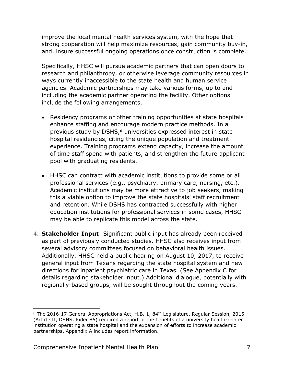improve the local mental health services system, with the hope that strong cooperation will help maximize resources, gain community buy-in, and, insure successful ongoing operations once construction is complete.

Specifically, HHSC will pursue academic partners that can open doors to research and philanthropy, or otherwise leverage community resources in ways currently inaccessible to the state health and human service agencies. Academic partnerships may take various forms, up to and including the academic partner operating the facility. Other options include the following arrangements.

- Residency programs or other training opportunities at state hospitals enhance staffing and encourage modern practice methods. In a previous study by DSHS,*<sup>6</sup>* universities expressed interest in state hospital residencies, citing the unique population and treatment experience. Training programs extend capacity, increase the amount of time staff spend with patients, and strengthen the future applicant pool with graduating residents.
- HHSC can contract with academic institutions to provide some or all professional services (e.g., psychiatry, primary care, nursing, etc.). Academic institutions may be more attractive to job seekers, making this a viable option to improve the state hospitals' staff recruitment and retention. While DSHS has contracted successfully with higher education institutions for professional services in some cases, HHSC may be able to replicate this model across the state.
- 4. **Stakeholder Input**: Significant public input has already been received as part of previously conducted studies. HHSC also receives input from several advisory committees focused on behavioral health issues. Additionally, HHSC held a public hearing on August 10, 2017, to receive general input from Texans regarding the state hospital system and new directions for inpatient psychiatric care in Texas. (See Appendix C for details regarding stakeholder input.) Additional dialogue, potentially with regionally-based groups, will be sought throughout the coming years.

 $6$  The 2016-17 General Appropriations Act, H.B. 1, 84<sup>th</sup> Legislature, Regular Session, 2015 (Article II, DSHS, Rider 86) required a report of the benefits of a university health-related institution operating a state hospital and the expansion of efforts to increase academic partnerships. Appendix A includes report information.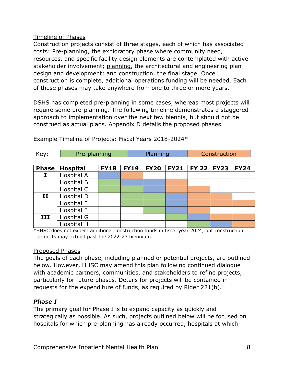#### Timeline of Phases

Construction projects consist of three stages, each of which has associated costs: Pre-planning, the exploratory phase where community need, resources, and specific facility design elements are contemplated with active stakeholder involvement; planning, the architectural and engineering plan design and development; and construction, the final stage. Once construction is complete, additional operations funding will be needed. Each of these phases may take anywhere from one to three or more years.

DSHS has completed pre-planning in some cases, whereas most projects will require some pre-planning. The following timeline demonstrates a staggered approach to implementation over the next few biennia, but should not be construed as actual plans. Appendix D details the proposed phases.

| Key:          | Pre-planning    |             | Planning    |             |             | Construction   |             |             |
|---------------|-----------------|-------------|-------------|-------------|-------------|----------------|-------------|-------------|
| <b>Phase</b>  | <b>Hospital</b> | <b>FY18</b> | <b>FY19</b> | <b>FY20</b> | <b>FY21</b> | <b>FY 22  </b> | <b>FY23</b> | <b>FY24</b> |
| I             | Hospital A      |             |             |             |             |                |             |             |
|               | Hospital B      |             |             |             |             |                |             |             |
|               | Hospital C      |             |             |             |             |                |             |             |
| $\mathbf{II}$ | Hospital D      |             |             |             |             |                |             |             |
|               | Hospital E      |             |             |             |             |                |             |             |
|               | Hospital F      |             |             |             |             |                |             |             |
| III           | Hospital G      |             |             |             |             |                |             |             |
|               | Hospital H      |             |             |             |             |                |             |             |

Example Timeline of Projects: Fiscal Years 2018-2024\*

\*HHSC does not expect additional construction funds in fiscal year 2024, but construction projects may extend past the 2022-23 biennium.

## Proposed Phases

The goals of each phase, including planned or potential projects, are outlined below. However, HHSC may amend this plan following continued dialogue with academic partners, communities, and stakeholders to refine projects, particularly for future phases. Details for projects will be contained in requests for the expenditure of funds, as required by Rider 221(b).

## *Phase I*

The primary goal for Phase I is to expand capacity as quickly and strategically as possible. As such, projects outlined below will be focused on hospitals for which pre-planning has already occurred, hospitals at which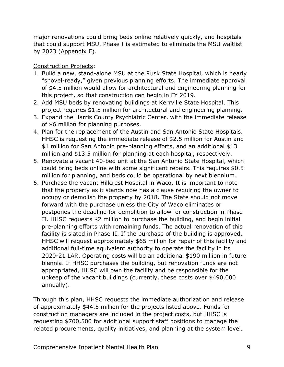major renovations could bring beds online relatively quickly, and hospitals that could support MSU. Phase I is estimated to eliminate the MSU waitlist by 2023 (Appendix E).

## Construction Projects:

- 1. Build a new, stand-alone MSU at the Rusk State Hospital, which is nearly "shovel-ready," given previous planning efforts. The immediate approval of \$4.5 million would allow for architectural and engineering planning for this project, so that construction can begin in FY 2019.
- 2. Add MSU beds by renovating buildings at Kerrville State Hospital. This project requires \$1.5 million for architectural and engineering planning.
- 3. Expand the Harris County Psychiatric Center, with the immediate release of \$6 million for planning purposes.
- 4. Plan for the replacement of the Austin and San Antonio State Hospitals. HHSC is requesting the immediate release of \$2.5 million for Austin and \$1 million for San Antonio pre-planning efforts, and an additional \$13 million and \$13.5 million for planning at each hospital, respectively.
- 5. Renovate a vacant 40-bed unit at the San Antonio State Hospital, which could bring beds online with some significant repairs. This requires \$0.5 million for planning, and beds could be operational by next biennium.
- 6. Purchase the vacant Hillcrest Hospital in Waco. It is important to note that the property as it stands now has a clause requiring the owner to occupy or demolish the property by 2018. The State should not move forward with the purchase unless the City of Waco eliminates or postpones the deadline for demolition to allow for construction in Phase II. HHSC requests \$2 million to purchase the building, and begin initial pre-planning efforts with remaining funds. The actual renovation of this facility is slated in Phase II. If the purchase of the building is approved, HHSC will request approximately \$65 million for repair of this facility and additional full-time equivalent authority to operate the facility in its 2020-21 LAR. Operating costs will be an additional \$190 million in future biennia. If HHSC purchases the building, but renovation funds are not appropriated, HHSC will own the facility and be responsible for the upkeep of the vacant buildings (currently, these costs over \$490,000 annually).

Through this plan, HHSC requests the immediate authorization and release of approximately \$44.5 million for the projects listed above. Funds for construction managers are included in the project costs, but HHSC is requesting \$700,500 for additional support staff positions to manage the related procurements, quality initiatives, and planning at the system level.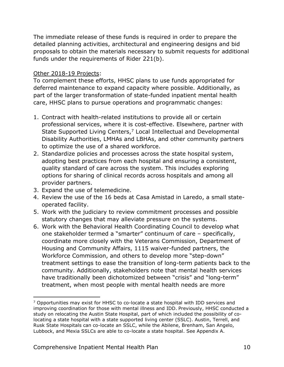The immediate release of these funds is required in order to prepare the detailed planning activities, architectural and engineering designs and bid proposals to obtain the materials necessary to submit requests for additional funds under the requirements of Rider 221(b).

#### Other 2018-19 Projects:

To complement these efforts, HHSC plans to use funds appropriated for deferred maintenance to expand capacity where possible. Additionally, as part of the larger transformation of state-funded inpatient mental health care, HHSC plans to pursue operations and programmatic changes:

- 1. Contract with health-related institutions to provide all or certain professional services, where it is cost-effective. Elsewhere, partner with State Supported Living Centers,<sup>7</sup> Local Intellectual and Developmental Disability Authorities, LMHAs and LBHAs, and other community partners to optimize the use of a shared workforce.
- 2. Standardize policies and processes across the state hospital system, adopting best practices from each hospital and ensuring a consistent, quality standard of care across the system. This includes exploring options for sharing of clinical records across hospitals and among all provider partners.
- 3. Expand the use of telemedicine.

- 4. Review the use of the 16 beds at Casa Amistad in Laredo, a small stateoperated facility.
- 5. Work with the judiciary to review commitment processes and possible statutory changes that may alleviate pressure on the systems.
- 6. Work with the Behavioral Health Coordinating Council to develop what one stakeholder termed a "smarter" continuum of care – specifically, coordinate more closely with the Veterans Commission, Department of Housing and Community Affairs, 1115 waiver-funded partners, the Workforce Commission, and others to develop more "step-down" treatment settings to ease the transition of long-term patients back to the community. Additionally, stakeholders note that mental health services have traditionally been dichotomized between "crisis" and "long-term" treatment, when most people with mental health needs are more

 $<sup>7</sup>$  Opportunities may exist for HHSC to co-locate a state hospital with IDD services and</sup> improving coordination for those with mental illness and IDD. Previously, HHSC conducted a study on relocating the Austin State Hospital, part of which included the possibility of colocating a state hospital with a state supported living center (SSLC). Austin, Terrell, and Rusk State Hospitals can co-locate an SSLC, while the Abilene, Brenham, San Angelo, Lubbock, and Mexia SSLCs are able to co-locate a state hospital. See Appendix A.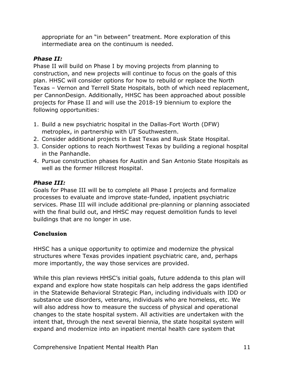appropriate for an "in between" treatment. More exploration of this intermediate area on the continuum is needed.

# *Phase II:*

Phase II will build on Phase I by moving projects from planning to construction, and new projects will continue to focus on the goals of this plan. HHSC will consider options for how to rebuild or replace the North Texas – Vernon and Terrell State Hospitals, both of which need replacement, per CannonDesign. Additionally, HHSC has been approached about possible projects for Phase II and will use the 2018-19 biennium to explore the following opportunities:

- 1. Build a new psychiatric hospital in the Dallas-Fort Worth (DFW) metroplex, in partnership with UT Southwestern.
- 2. Consider additional projects in East Texas and Rusk State Hospital.
- 3. Consider options to reach Northwest Texas by building a regional hospital in the Panhandle.
- 4. Pursue construction phases for Austin and San Antonio State Hospitals as well as the former Hillcrest Hospital.

# *Phase III:*

Goals for Phase III will be to complete all Phase I projects and formalize processes to evaluate and improve state-funded, inpatient psychiatric services. Phase III will include additional pre-planning or planning associated with the final build out, and HHSC may request demolition funds to level buildings that are no longer in use.

# **Conclusion**

HHSC has a unique opportunity to optimize and modernize the physical structures where Texas provides inpatient psychiatric care, and, perhaps more importantly, the way those services are provided.

While this plan reviews HHSC's initial goals, future addenda to this plan will expand and explore how state hospitals can help address the gaps identified in the Statewide Behavioral Strategic Plan, including individuals with IDD or substance use disorders, veterans, individuals who are homeless, etc. We will also address how to measure the success of physical and operational changes to the state hospital system. All activities are undertaken with the intent that, through the next several biennia, the state hospital system will expand and modernize into an inpatient mental health care system that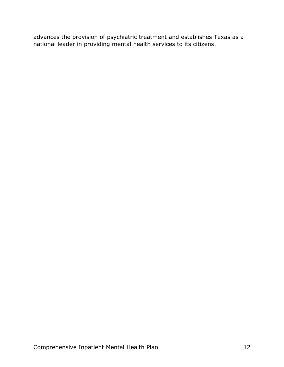advances the provision of psychiatric treatment and establishes Texas as a national leader in providing mental health services to its citizens.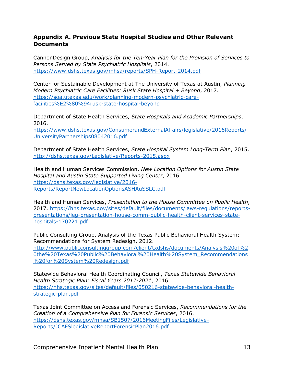## **Appendix A. Previous State Hospital Studies and Other Relevant Documents**

CannonDesign Group, *Analysis for the Ten-Year Plan for the Provision of Services to Persons Served by State Psychiatric Hospitals*, 2014. <https://www.dshs.texas.gov/mhsa/reports/SPH-Report-2014.pdf>

Center for Sustainable Development at The University of Texas at Austin, *Planning Modern Psychiatric Care Facilities: Rusk State Hospital + Beyond*, 2017. [https://soa.utexas.edu/work/planning-modern-psychiatric-care](https://soa.utexas.edu/work/planning-modern-psychiatric-care-facilities%E2%80%94rusk-state-hospital-beyond)[facilities%E2%80%94rusk-state-hospital-beyond](https://soa.utexas.edu/work/planning-modern-psychiatric-care-facilities%E2%80%94rusk-state-hospital-beyond)

Department of State Health Services, *State Hospitals and Academic Partnerships*, 2016.

[https://www.dshs.texas.gov/ConsumerandExternalAffairs/legislative/2016Reports/](https://www.dshs.texas.gov/ConsumerandExternalAffairs/legislative/2016Reports/UniversityPartnerships08042016.pdf) [UniversityPartnerships08042016.pdf](https://www.dshs.texas.gov/ConsumerandExternalAffairs/legislative/2016Reports/UniversityPartnerships08042016.pdf)

Department of State Health Services, *State Hospital System Long-Term Plan*, 2015. <http://dshs.texas.gov/Legislative/Reports-2015.aspx>

Health and Human Services Commission, *New Location Options for Austin State Hospital and Austin State Supported Living Center*, 2016. [https://dshs.texas.gov/legislative/2016-](https://dshs.texas.gov/legislative/2016-Reports/ReportNewLocationOptionsASHAuSSLC.pdf) [Reports/ReportNewLocationOptionsASHAuSSLC.pdf](https://dshs.texas.gov/legislative/2016-Reports/ReportNewLocationOptionsASHAuSSLC.pdf)

Health and Human Services, *Presentation to the House Committee on Public Health*, 2017. [https://hhs.texas.gov/sites/default/files/documents/laws-regulations/reports](https://hhs.texas.gov/sites/default/files/documents/laws-regulations/reports-presentations/leg-presentation-house-comm-public-health-client-services-state-hospitals-170221.pdf)[presentations/leg-presentation-house-comm-public-health-client-services-state](https://hhs.texas.gov/sites/default/files/documents/laws-regulations/reports-presentations/leg-presentation-house-comm-public-health-client-services-state-hospitals-170221.pdf)[hospitals-170221.pdf](https://hhs.texas.gov/sites/default/files/documents/laws-regulations/reports-presentations/leg-presentation-house-comm-public-health-client-services-state-hospitals-170221.pdf)

Public Consulting Group, Analysis of the Texas Public Behavioral Health System: Recommendations for System Redesign, 2012.

[http://www.publicconsultinggroup.com/client/txdshs/documents/Analysis%20of%2](http://www.publicconsultinggroup.com/client/txdshs/documents/Analysis%20of%20the%20Texas%20Public%20Behavioral%20Health%20System_Recommendations%20for%20System%20Redesign.pdf) [0the%20Texas%20Public%20Behavioral%20Health%20System\\_Recommendations](http://www.publicconsultinggroup.com/client/txdshs/documents/Analysis%20of%20the%20Texas%20Public%20Behavioral%20Health%20System_Recommendations%20for%20System%20Redesign.pdf) [%20for%20System%20Redesign.pdf](http://www.publicconsultinggroup.com/client/txdshs/documents/Analysis%20of%20the%20Texas%20Public%20Behavioral%20Health%20System_Recommendations%20for%20System%20Redesign.pdf)

Statewide Behavioral Health Coordinating Council, *Texas Statewide Behavioral Health Strategic Plan: Fiscal Years 2017-2021*, 2016. [https://hhs.texas.gov/sites/default/files/050216-statewide-behavioral-health](https://hhs.texas.gov/sites/default/files/050216-statewide-behavioral-health-strategic-plan.pdf)[strategic-plan.pdf](https://hhs.texas.gov/sites/default/files/050216-statewide-behavioral-health-strategic-plan.pdf)

Texas Joint Committee on Access and Forensic Services, *Recommendations for the Creation of a Comprehensive Plan for Forensic Services*, 2016. [https://dshs.texas.gov/mhsa/SB1507/2016MeetingFiles/Legislative-](https://dshs.texas.gov/mhsa/SB1507/2016MeetingFiles/Legislative-Reports/JCAFSlegislativeReportForensicPlan2016.pdf)[Reports/JCAFSlegislativeReportForensicPlan2016.pdf](https://dshs.texas.gov/mhsa/SB1507/2016MeetingFiles/Legislative-Reports/JCAFSlegislativeReportForensicPlan2016.pdf)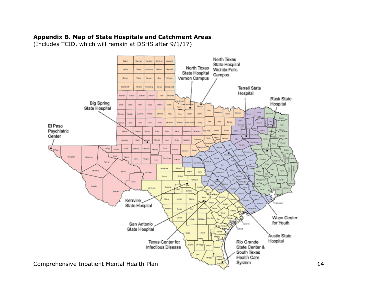## **Appendix B. Map of State Hospitals and Catchment Areas**

(Includes TCID, which will remain at DSHS after 9/1/17)

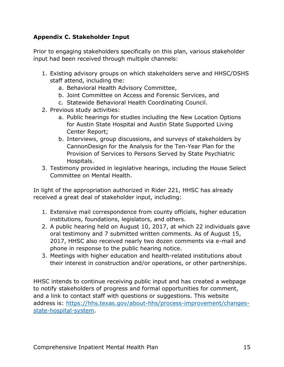# **Appendix C. Stakeholder Input**

Prior to engaging stakeholders specifically on this plan, various stakeholder input had been received through multiple channels:

- 1. Existing advisory groups on which stakeholders serve and HHSC/DSHS staff attend, including the:
	- a. Behavioral Health Advisory Committee,
	- b. Joint Committee on Access and Forensic Services, and
	- c. Statewide Behavioral Health Coordinating Council.
- 2. Previous study activities:
	- a. Public hearings for studies including the New Location Options for Austin State Hospital and Austin State Supported Living Center Report;
	- b. Interviews, group discussions, and surveys of stakeholders by CannonDesign for the Analysis for the Ten-Year Plan for the Provision of Services to Persons Served by State Psychiatric Hospitals.
- 3. Testimony provided in legislative hearings, including the House Select Committee on Mental Health.

In light of the appropriation authorized in Rider 221, HHSC has already received a great deal of stakeholder input, including:

- 1. Extensive mail correspondence from county officials, higher education institutions, foundations, legislators, and others.
- 2. A public hearing held on August 10, 2017, at which 22 individuals gave oral testimony and 7 submitted written comments. As of August 15, 2017, HHSC also received nearly two dozen comments via e-mail and phone in response to the public hearing notice.
- 3. Meetings with higher education and health-related institutions about their interest in construction and/or operations, or other partnerships.

HHSC intends to continue receiving public input and has created a webpage to notify stakeholders of progress and formal opportunities for comment, and a link to contact staff with questions or suggestions. This website address is: [https://hhs.texas.gov/about-hhs/process-improvement/changes](https://hhs.texas.gov/about-hhs/process-improvement/changes-state-hospital-system)[state-hospital-system.](https://hhs.texas.gov/about-hhs/process-improvement/changes-state-hospital-system)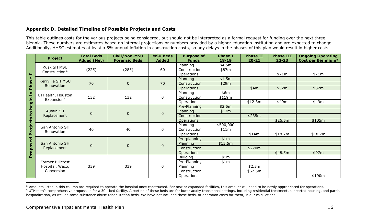## **Appendix D. Detailed Timeline of Possible Projects and Costs**

This table outlines costs for the various projects being considered, but should not be interpreted as a formal request for funding over the next three biennia. These numbers are estimates based on internal projections or numbers provided by a higher education institution and are expected to change. Additionally, HHSC estimates at least a 5% annual inflation in construction costs, so any delays in the phases of this plan would result in higher costs.

|                | <b>Project</b>                                    | <b>Total Beds</b><br><b>Added (Net)</b> | <b>Civil/Non-MSU</b><br><b>Forensic Beds</b> | <b>MSU Beds</b><br><b>Added</b> | <b>Purpose of</b><br><b>Funds</b> | <b>Phase I</b><br>$18 - 19$ | <b>Phase II</b><br>$20 - 21$ | <b>Phase III</b><br>$22 - 23$ | <b>Ongoing Operating</b><br>Cost per Biennium <sup>8</sup> |
|----------------|---------------------------------------------------|-----------------------------------------|----------------------------------------------|---------------------------------|-----------------------------------|-----------------------------|------------------------------|-------------------------------|------------------------------------------------------------|
|                | Rusk SH MSU                                       | (225)                                   | (285)                                        | 60                              | Planning                          | \$4.5m                      |                              |                               |                                                            |
|                | Construction*                                     |                                         |                                              |                                 | Construction                      | \$87m                       |                              |                               |                                                            |
| $\blacksquare$ |                                                   |                                         |                                              |                                 | Operations                        |                             |                              | \$71m                         | \$71m                                                      |
| <b>Phase</b>   | Kerrville SH MSU<br>Renovation                    | 70                                      | $\mathbf{0}$                                 | 70                              | Planning                          | \$1.5m                      |                              |                               |                                                            |
|                |                                                   |                                         |                                              |                                 | Construction                      | \$29m                       |                              |                               |                                                            |
|                |                                                   |                                         |                                              |                                 | <b>Operations</b>                 |                             | \$4m                         | \$32m                         | \$32m                                                      |
|                | UTHealth, Houston                                 | 132                                     | 132                                          | 0                               | Planning                          | \$6m                        |                              |                               |                                                            |
|                | Expansion <sup>9</sup>                            |                                         |                                              |                                 | Construction                      | \$119m                      |                              |                               |                                                            |
| begin in       |                                                   |                                         |                                              |                                 | <b>Operations</b>                 |                             | \$12.3m                      | \$49m                         | \$49m                                                      |
|                | <b>Austin SH</b><br>Replacement                   | $\mathbf 0$                             | $\overline{0}$                               | $\overline{0}$                  | Pre-Planning                      | \$2.5m                      |                              |                               |                                                            |
|                |                                                   |                                         |                                              |                                 | Planning                          | \$13m                       |                              |                               |                                                            |
|                |                                                   |                                         |                                              |                                 | Construction                      |                             | \$235m                       |                               |                                                            |
|                |                                                   |                                         |                                              |                                 | <b>Operations</b>                 |                             |                              | \$26.5m                       | \$105m                                                     |
| Projects to    | San Antonio SH<br>Renovation                      | 40                                      | 40                                           | 0                               | Planning                          | \$500,000                   |                              |                               |                                                            |
|                |                                                   |                                         |                                              |                                 | Construction                      | \$11m                       |                              |                               |                                                            |
|                |                                                   |                                         |                                              |                                 | <b>Operations</b>                 |                             | \$14m                        | \$18.7m                       | \$18.7m                                                    |
|                | San Antonio SH<br>Replacement                     | $\mathbf 0$                             | $\overline{0}$                               | $\overline{0}$                  | Pre-planning                      | \$1m                        |                              |                               |                                                            |
|                |                                                   |                                         |                                              |                                 | Planning                          | \$13.5m                     |                              |                               |                                                            |
|                |                                                   |                                         |                                              |                                 | Construction                      |                             | \$270m                       |                               |                                                            |
| Proposed       |                                                   |                                         |                                              |                                 | <b>Operations</b>                 |                             |                              | \$48.5m                       | \$97m                                                      |
|                |                                                   | 339                                     | 339                                          | 0                               | <b>Building</b>                   | \$1m                        |                              |                               |                                                            |
|                | Former Hillcrest<br>Hospital, Waco,<br>Conversion |                                         |                                              |                                 | Pre-Planning                      | \$1m                        |                              |                               |                                                            |
|                |                                                   |                                         |                                              |                                 | Planning                          |                             | \$2.3m                       |                               |                                                            |
|                |                                                   |                                         |                                              |                                 | Construction                      |                             | \$62.5m                      |                               |                                                            |
|                |                                                   |                                         |                                              |                                 | Operations                        |                             |                              |                               | \$190m                                                     |

<sup>&</sup>lt;sup>8</sup> Amounts listed in this column are required to operate the hospital once constructed. For new or expanded facilities, this amount will need to be newly appropriated for operations. <sup>9</sup> UTHealth's comprehensive proposal is for a 304-bed facility. A portion of these beds are for lower acuity transitional settings, including residential treatment, supported housing, and partial hospitalization, as well as some substance abuse rehabilitation beds. We have not included these beds, or operation costs for them, in our calculations.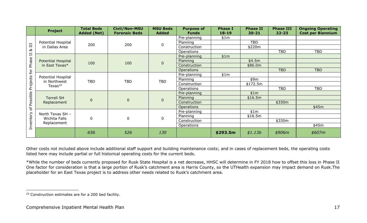|             | <b>Project</b>                                         | <b>Total Beds</b><br><b>Added (Net)</b> | <b>Civil/Non-MSU</b><br><b>Forensic Beds</b> | <b>MSU Beds</b><br><b>Added</b> | <b>Purpose of</b><br><b>Funds</b> | <b>Phase I</b><br>$18 - 19$ | <b>Phase II</b><br>$20 - 21$ | <b>Phase III</b><br>$22 - 23$ | <b>Ongoing Operating</b><br><b>Cost per Biennium</b> |
|-------------|--------------------------------------------------------|-----------------------------------------|----------------------------------------------|---------------------------------|-----------------------------------|-----------------------------|------------------------------|-------------------------------|------------------------------------------------------|
| $\Xi$       | Potential Hospital<br>in Dallas Area                   | 200                                     | 200                                          | $\mathbf 0$                     | Pre-planning                      | \$1m                        |                              |                               |                                                      |
|             |                                                        |                                         |                                              |                                 | Planning                          |                             | <b>TBD</b>                   |                               |                                                      |
|             |                                                        |                                         |                                              |                                 | Construction                      |                             | \$220m                       |                               |                                                      |
| ಹ<br>$\Box$ |                                                        |                                         |                                              |                                 | <b>Operations</b>                 |                             |                              | <b>TBD</b>                    | <b>TBD</b>                                           |
|             | <b>Potential Hospital</b>                              | 100                                     | 100                                          | $\overline{0}$                  | Pre-planning                      | \$1m                        |                              |                               |                                                      |
| Phase       |                                                        |                                         |                                              |                                 | Planning                          |                             | \$4.5m                       |                               |                                                      |
|             | in East Texas*                                         |                                         |                                              |                                 | Construction                      |                             | \$86.0m                      |                               |                                                      |
| for         |                                                        |                                         |                                              |                                 | <b>Operations</b>                 |                             |                              | <b>TBD</b>                    | <b>TBD</b>                                           |
|             | Potential Hospital<br>in Northwest<br>$T$ exas $^{10}$ | <b>TBD</b>                              | <b>TBD</b>                                   | <b>TBD</b>                      | Pre-planning                      | \$1m                        |                              |                               |                                                      |
|             |                                                        |                                         |                                              |                                 | Planning                          |                             | \$9m                         |                               |                                                      |
| Projects    |                                                        |                                         |                                              |                                 | Construction                      |                             | \$172.5m                     |                               |                                                      |
|             |                                                        |                                         |                                              |                                 | Operations                        |                             |                              | <b>TBD</b>                    | <b>TBD</b>                                           |
| Possible    | <b>Terrell SH</b><br>Replacement                       | $\mathbf 0$                             | $\boldsymbol{0}$                             | $\bf 0$                         | Pre-planning                      |                             | \$1m                         |                               |                                                      |
|             |                                                        |                                         |                                              |                                 | Planning                          |                             | \$16.5m                      |                               |                                                      |
|             |                                                        |                                         |                                              |                                 | Construction                      |                             |                              | \$330m                        |                                                      |
| $\sigma$    |                                                        |                                         |                                              |                                 | <b>Operations</b>                 |                             |                              |                               | \$45m                                                |
|             | North Texas SH -<br>Wichita Falls<br>Replacement       | $\mathbf 0$                             | 0                                            | $\mathbf 0$                     | Pre-planning                      |                             | \$1m                         |                               |                                                      |
|             |                                                        |                                         |                                              |                                 | Planning                          |                             | \$16.5m                      |                               |                                                      |
|             |                                                        |                                         |                                              |                                 | Construction                      |                             |                              | \$330m                        |                                                      |
| Inventory   |                                                        |                                         |                                              |                                 | Operations                        |                             |                              |                               | \$45m                                                |
|             |                                                        | 656                                     | 526                                          | 130                             |                                   | \$293.5m                    | \$1.13b                      | \$906m                        | \$607m\$                                             |

Other costs not included above include additional staff support and building maintenance costs; and in cases of replacement beds, the operating costs listed here may include partial or full historical operating costs for the current beds.

\*While the number of beds currently proposed for Rusk State Hospital is a net decrease, HHSC will determine in FY 2018 how to offset this loss in Phase II One factor for consideration is that a large portion of Rusk's catchment area is Harris County, so the UTHealth expansion may impact demand on Rusk.The placeholder for an East Texas project is to address other needs related to Rusk's catchment area.

 $\overline{a}$ <sup>10</sup> Construction estimates are for a 200 bed facility.